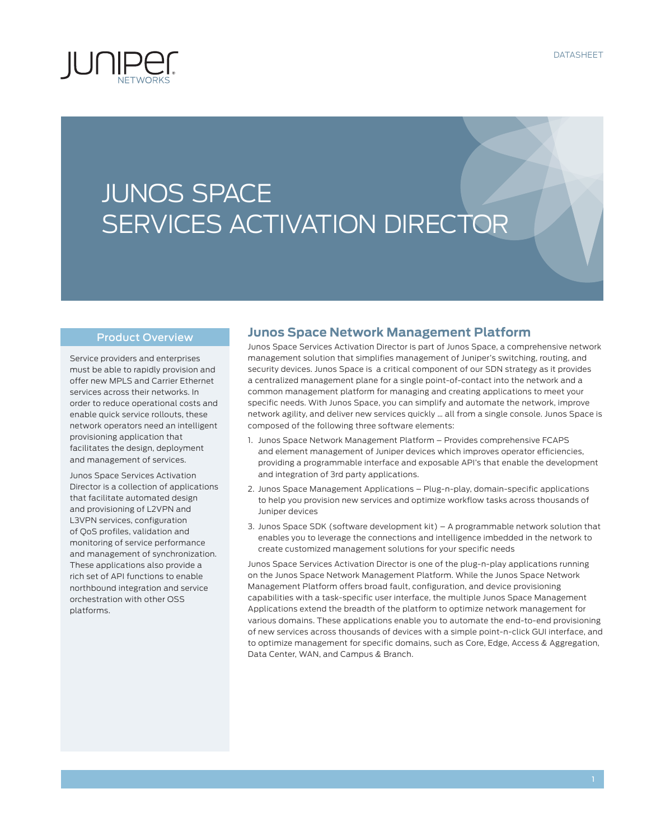

# JUNOS SPACE SERVICES ACTIVATION DIRECTOR

#### Product Overview

Service providers and enterprises must be able to rapidly provision and offer new MPLS and Carrier Ethernet services across their networks. In order to reduce operational costs and enable quick service rollouts, these network operators need an intelligent provisioning application that facilitates the design, deployment and management of services.

Junos Space Services Activation Director is a collection of applications that facilitate automated design and provisioning of L2VPN and L3VPN services, configuration of QoS profiles, validation and monitoring of service performance and management of synchronization. These applications also provide a rich set of API functions to enable northbound integration and service orchestration with other OSS platforms.

#### **Junos Space Network Management Platform**

Junos Space Services Activation Director is part of Junos Space, a comprehensive network management solution that simplifies management of Juniper's switching, routing, and security devices. Junos Space is a critical component of our SDN strategy as it provides a centralized management plane for a single point-of-contact into the network and a common management platform for managing and creating applications to meet your specific needs. With Junos Space, you can simplify and automate the network, improve network agility, and deliver new services quickly … all from a single console. Junos Space is composed of the following three software elements:

- 1. Junos Space Network Management Platform Provides comprehensive FCAPS and element management of Juniper devices which improves operator efficiencies, providing a programmable interface and exposable API's that enable the development and integration of 3rd party applications.
- 2. Junos Space Management Applications Plug-n-play, domain-specific applications to help you provision new services and optimize workflow tasks across thousands of Juniper devices
- 3. Junos Space SDK (software development kit) A programmable network solution that enables you to leverage the connections and intelligence imbedded in the network to create customized management solutions for your specific needs

Junos Space Services Activation Director is one of the plug-n-play applications running on the Junos Space Network Management Platform. While the Junos Space Network Management Platform offers broad fault, configuration, and device provisioning capabilities with a task-specific user interface, the multiple Junos Space Management Applications extend the breadth of the platform to optimize network management for various domains. These applications enable you to automate the end-to-end provisioning of new services across thousands of devices with a simple point-n-click GUI interface, and to optimize management for specific domains, such as Core, Edge, Access & Aggregation, Data Center, WAN, and Campus & Branch.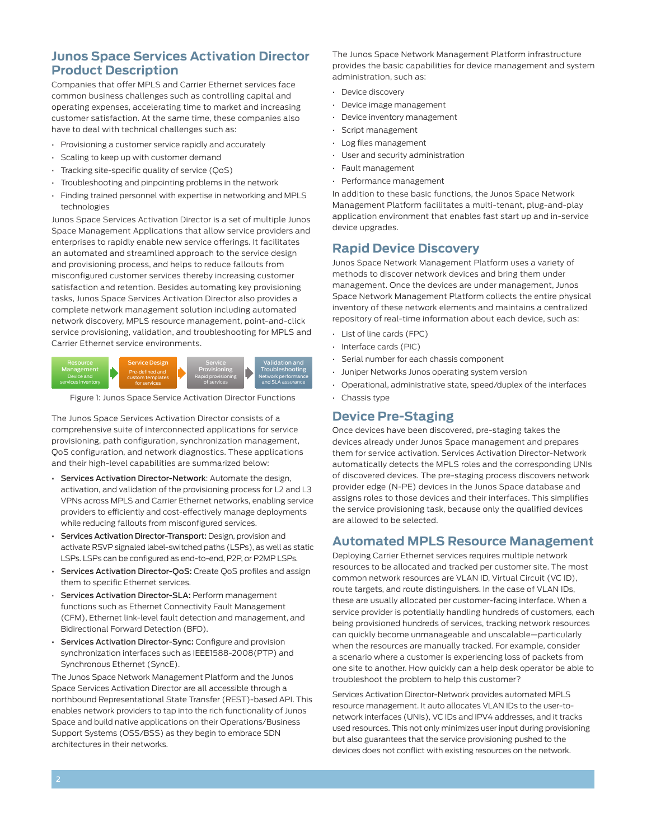## **Junos Space Services Activation Director Product Description**

Companies that offer MPLS and Carrier Ethernet services face common business challenges such as controlling capital and operating expenses, accelerating time to market and increasing customer satisfaction. At the same time, these companies also have to deal with technical challenges such as:

- Provisioning a customer service rapidly and accurately
- Scaling to keep up with customer demand
- Tracking site-specific quality of service (QoS)
- Troubleshooting and pinpointing problems in the network
- Finding trained personnel with expertise in networking and MPLS technologies

Junos Space Services Activation Director is a set of multiple Junos Space Management Applications that allow service providers and enterprises to rapidly enable new service offerings. It facilitates an automated and streamlined approach to the service design and provisioning process, and helps to reduce fallouts from misconfigured customer services thereby increasing customer satisfaction and retention. Besides automating key provisioning tasks, Junos Space Services Activation Director also provides a complete network management solution including automated network discovery, MPLS resource management, point-and-click service provisioning, validation, and troubleshooting for MPLS and Carrier Ethernet service environments.



Figure 1: Junos Space Service Activation Director Functions

The Junos Space Services Activation Director consists of a comprehensive suite of interconnected applications for service provisioning, path configuration, synchronization management, QoS configuration, and network diagnostics. These applications and their high-level capabilities are summarized below:

- Services Activation Director-Network: Automate the design, activation, and validation of the provisioning process for L2 and L3 VPNs across MPLS and Carrier Ethernet networks, enabling service providers to efficiently and cost-effectively manage deployments while reducing fallouts from misconfigured services.
- Services Activation Director-Transport: Design, provision and activate RSVP signaled label-switched paths (LSPs), as well as static LSPs. LSPs can be configured as end-to-end, P2P, or P2MP LSPs.
- Services Activation Director-QoS: Create QoS profiles and assign them to specific Ethernet services.
- Services Activation Director-SLA: Perform management functions such as Ethernet Connectivity Fault Management (CFM), Ethernet link-level fault detection and management, and Bidirectional Forward Detection (BFD).
- Services Activation Director-Sync: Configure and provision synchronization interfaces such as IEEE1588-2008(PTP) and Synchronous Ethernet (SyncE).

The Junos Space Network Management Platform and the Junos Space Services Activation Director are all accessible through a northbound Representational State Transfer (REST)-based API. This enables network providers to tap into the rich functionality of Junos Space and build native applications on their Operations/Business Support Systems (OSS/BSS) as they begin to embrace SDN architectures in their networks.

The Junos Space Network Management Platform infrastructure provides the basic capabilities for device management and system administration, such as:

- Device discovery
- Device image management
- Device inventory management
- Script management
- Log files management
- User and security administration
- Fault management
- Performance management

In addition to these basic functions, the Junos Space Network Management Platform facilitates a multi-tenant, plug-and-play application environment that enables fast start up and in-service device upgrades.

#### **Rapid Device Discovery**

Junos Space Network Management Platform uses a variety of methods to discover network devices and bring them under management. Once the devices are under management, Junos Space Network Management Platform collects the entire physical inventory of these network elements and maintains a centralized repository of real-time information about each device, such as:

- List of line cards (FPC)
- Interface cards (PIC)
- Serial number for each chassis component
- Juniper Networks Junos operating system version
- Operational, administrative state, speed/duplex of the interfaces
- Chassis type

# **Device Pre-Staging**

Once devices have been discovered, pre-staging takes the devices already under Junos Space management and prepares them for service activation. Services Activation Director-Network automatically detects the MPLS roles and the corresponding UNIs of discovered devices. The pre-staging process discovers network provider edge (N-PE) devices in the Junos Space database and assigns roles to those devices and their interfaces. This simplifies the service provisioning task, because only the qualified devices are allowed to be selected.

#### **Automated MPLS Resource Management**

Deploying Carrier Ethernet services requires multiple network resources to be allocated and tracked per customer site. The most common network resources are VLAN ID, Virtual Circuit (VC ID), route targets, and route distinguishers. In the case of VLAN IDs, these are usually allocated per customer-facing interface. When a service provider is potentially handling hundreds of customers, each being provisioned hundreds of services, tracking network resources can quickly become unmanageable and unscalable—particularly when the resources are manually tracked. For example, consider a scenario where a customer is experiencing loss of packets from one site to another. How quickly can a help desk operator be able to troubleshoot the problem to help this customer?

Services Activation Director-Network provides automated MPLS resource management. It auto allocates VLAN IDs to the user-tonetwork interfaces (UNIs), VC IDs and IPV4 addresses, and it tracks used resources. This not only minimizes user input during provisioning but also guarantees that the service provisioning pushed to the devices does not conflict with existing resources on the network.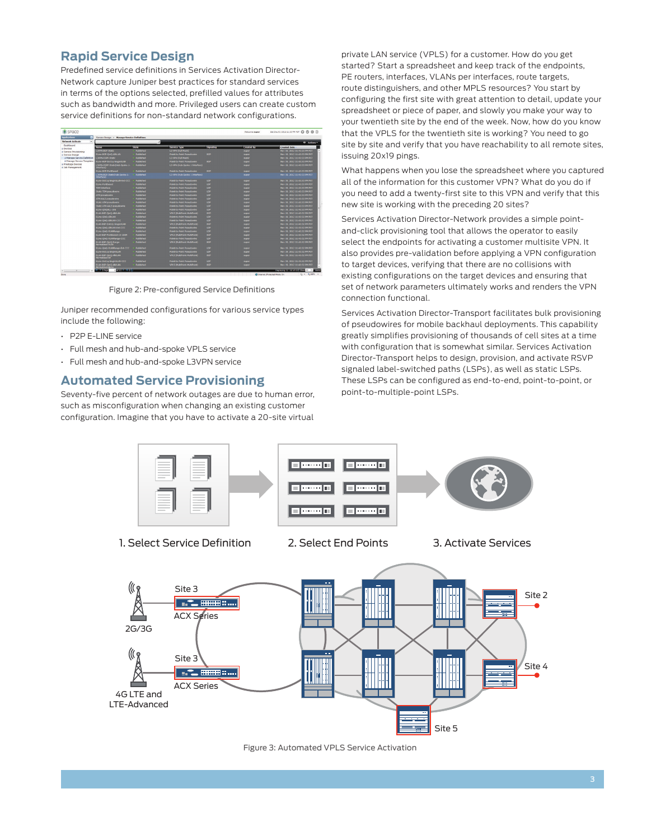# **Rapid Service Design**

Predefined service definitions in Services Activation Director-Network capture Juniper best practices for standard services in terms of the options selected, prefilled values for attributes such as bandwidth and more. Privileged users can create custom service definitions for non-standard network configurations.

| space                                   |                                                   |                         |                                  |            | <b>Welcome super</b> | Sat Dec 01 2012 11:10 PM PST @ ② 盘 [-]            |
|-----------------------------------------|---------------------------------------------------|-------------------------|----------------------------------|------------|----------------------|---------------------------------------------------|
| <b>laolications</b><br>n                | Service Design > Manage Service Definitions       |                         |                                  |            |                      |                                                   |
| iw.<br>Network Activate                 |                                                   |                         |                                  |            |                      | <b>O</b> Actions *                                |
| Dashboard<br>Name<br><b>B</b> Devices   |                                                   | <b>State</b>            | <b>Straite face</b>              | Signating  | <b>Created By</b>    | <b>Created Date -</b>                             |
| al Service Provisioning                 | L3VPN-BGP-Static                                  | Published               | <b>L3 VPN (Full Mesh)</b>        |            | <b>SUDE</b>          | Nov 19, 2012 11:43:33 PM PST                      |
| <b>Bi Service Design</b>                | ELine-BSP-OinO-AINLAN                             | <b>Published</b>        | Point-to-Point Pseudowine        | <b>BGP</b> | <b>SLOEF</b>         | Nov 19, 2012 11:43:33 PM PST                      |
| la Manage Service Definition            | 13VPN-0SPF-Static                                 | Published               | L3 VPN (Full Mesh)               |            | <b>SLIDE</b>         | Nov 19, 2012 11:43:33 PM PST                      |
| iii Manage Service Templater            | ELine-BSP-Dot1g-SingleWLAN                        | <b>Indistrict</b>       | Point-to-Point Pseudowire        | <b>BOP</b> | <b>SUDE</b>          | Nov 19, 2012 11:43:33 PM PST                      |
| a Prestage Devices<br>al Job Management | DVPN-OSPF-StaticDidd-Spoke-1-<br><b>Interface</b> | Published               | L3 VPN (Hub-Spoke 1 Interface)   |            | super                | Nov 19, 2012 11:43:33 PM PST                      |
|                                         | <b>FLine-RGP-PortRased</b>                        | <b>Published</b>        | Point-to-Point Possadowire       | <b>BGP</b> | super                | Nov 19, 2012 11:43:33 PM PST                      |
|                                         | L3VPN-BGP-Static/Hub-Spoke-1-<br>nterface)        | Published               | L3 VPN (Hub-Spoke 1 Interface)   |            | super                | Nov 19, 2012 11:43:33 PM PST                      |
|                                         | ELine-Dot I a-SingleW.AN-Ext-CCC                  | Published               | Point-to-Point Paeudowine        | LDP        | <b>SLIDEE</b>        | Nov. 19, 2012 11:43:33 PM PST                     |
|                                         | <b>FLine-PortRaced</b>                            | <b>Indisted</b>         | <b>Point to Point Possibure</b>  | LDP.       | <b>SUDE</b>          | Nov 19, 2012 11:43:33 PM PST                      |
|                                         | <b>TOM Interface</b>                              | <b>District And</b>     | Point-to-Point Pseudowine        | LDP        | <b>SLOEF</b>         | Nov 19, 2012 11:43:33 PM PST                      |
|                                         | <b>Static TDM pseudowire</b>                      | Published               | <b>Point-to-Point Pseudowire</b> | LDP        | super                | Nov 19, 2012 11:43:33 PM PST                      |
|                                         | ATM pseudowire                                    | <b>District Control</b> | Point-to-Point Pseudowine        | <b>LDP</b> | <b>SUDER</b>         | Nov 19, 2012 11:43:33 PM PST                      |
|                                         | <b>ATM-AALS pseudowine</b>                        | Published               | Point-to-Point Paeudowine        | LDP        | <b>SUDE</b>          | Nov. 19, 2012 11:43:33 PM PST                     |
|                                         | Static ATM pseudowire                             | <b>Distriction</b>      | Point-to-Point Pseudowire        | LDP.       | super                | Nov. 19, 2012 11:43:33 PM PST                     |
|                                         | Static ATM-AALS pseudowine                        | <b>Diddlehad</b>        | Point-to-Point Pseudowine        | LDP.       | super                | Nov 19, 2012 11:43:33 PM PST                      |
|                                         | <b>FLine-OnOALL-10G</b>                           | <b>Published</b>        | Point-to-Point Possadowine       | LDP        | <b>BLID-BC</b>       | Nov. 19, 2012 11:43:33 PM PST                     |
|                                         | ELAN BOP-OinQ-ARVLAN                              | <b>Published</b>        | VPLS (MultiPoint-MultiPoint)     | <b>RGP</b> | <b>SUDE</b>          | Nov 19, 2012 11:43:32 PM PST                      |
|                                         | ELine-QinQ-AINLAN                                 | Published               | Point-to-Point Pseudowine        | LDP        | <b>SLORE</b>         | Nov 19, 2012 11:43:32 PM PST                      |
|                                         | ELine-QinQ-AllVLAN-CCC                            | <b>Published</b>        | Point-to-Point Possadowire       | LDP        | super                | Nov 19, 2012 11:43:32 PM PST                      |
|                                         | ELAN-BGP-Dot1O-SingleWLAN                         | - Published             | VPLS (MultiPoint-MultiPoint)     | <b>BOP</b> | <b>SUDE</b>          | Nov 19, 2012 11:43:32 PM PST                      |
|                                         | ELine-OinO-ABVLAN-Ext-CCC                         | <b>Published</b>        | Point-to-Point Paeudowine        | LDP        | <b>BLIDEC</b>        | Nov 19, 2012 11:43:32 PM PST                      |
|                                         | ELine OinQ VLANRange                              | <b>Published</b>        | <b>Point-to-Point Pseudowire</b> | LDP.       | <b>SUDE</b>          | Nov. 19, 2012 11:43:32 PM PST                     |
|                                         | ELAN-BGP-PortBased-10-100M                        | <b>Published</b>        | VPLS (MultiPoint-MultiPoint)     | <b>BGP</b> | <b>SUD-EF</b>        | Nov 19, 2012 11:43:32 PM PST                      |
|                                         | ELine-QinQ-VLANRange-CCC                          | Published               | Point-to-Point Pseudowire        | LDP        | super                | Nov 19, 2012 11:43:32 PM PST                      |
|                                         | LAN 80P-QinQ Range<br><b>MA MARGIAREM</b>         | - Published             | VPLS (MultiPoint-MultiPoint)     | <b>BGP</b> | <b>SUDE</b>          | Nov 19, 2012 11:43:32 PM PST                      |
|                                         | Etine-QinQ-VLANRange-Ext-CCC                      | Published               | Point-to-Point Pointdowing       | LDP        | <b>SLOIT</b>         | Nov. 19, 2012 11:43:32 PM PST                     |
|                                         | ELine-Dot1g-SingleVLAN                            | <b>Published</b>        | Point-to-Point Pseudowine        | LDP        | super                | Nov 19, 2012 11:43:32 PM PST                      |
|                                         | ELAN-BGP-DinO-ABVLAN-<br><b>La hasiltania</b>     | <b>Published</b>        | VPLS (MultiPoint-MultiPoint)     | <b>BGP</b> | <b>SLORE</b>         | Nov 19, 2012 11:43:32 PM PST                      |
|                                         | ELine-Dot1o-SingleW.AN-CCC                        | <b>Published</b>        | Point-to-Point Passadowine       | LDP        | <b>SLIDEC</b>        | Nov. 19, 2012 11:43:32 PM PST                     |
|                                         | <b>ELAN BGP-QinQ-ARVLAN</b><br>Mormalized Mone    | <b>Published</b>        | VPLS (MultiPoint-MultiPoint)     | <b>BGP</b> | super                | Nov 19, 2012 11:43:32 PM PST                      |
|                                         | <b>BALLASTIC</b><br><b>Citizene</b>               |                         |                                  |            |                      | Disclaying 11 to 60 of 63 policy 30               |
| <b>Done</b>                             |                                                   |                         |                                  |            |                      | 信 · 先100% ·<br>City Internet   Protected Mode: On |

Figure 2: Pre-configured Service Definitions

Juniper recommended configurations for various service types include the following:

- P2P E-LINE service
- Full mesh and hub-and-spoke VPLS service
- Full mesh and hub-and-spoke L3VPN service

#### **Automated Service Provisioning**

Seventy-five percent of network outages are due to human error, such as misconfiguration when changing an existing customer configuration. Imagine that you have to activate a 20-site virtual

private LAN service (VPLS) for a customer. How do you get started? Start a spreadsheet and keep track of the endpoints, PE routers, interfaces, VLANs per interfaces, route targets, route distinguishers, and other MPLS resources? You start by configuring the first site with great attention to detail, update your spreadsheet or piece of paper, and slowly you make your way to your twentieth site by the end of the week. Now, how do you know that the VPLS for the twentieth site is working? You need to go site by site and verify that you have reachability to all remote sites, issuing 20x19 pings.

What happens when you lose the spreadsheet where you captured all of the information for this customer VPN? What do you do if you need to add a twenty-first site to this VPN and verify that this new site is working with the preceding 20 sites?

Services Activation Director-Network provides a simple pointand-click provisioning tool that allows the operator to easily select the endpoints for activating a customer multisite VPN. It also provides pre-validation before applying a VPN configuration to target devices, verifying that there are no collisions with existing configurations on the target devices and ensuring that set of network parameters ultimately works and renders the VPN connection functional.

Services Activation Director-Transport facilitates bulk provisioning of pseudowires for mobile backhaul deployments. This capability greatly simplifies provisioning of thousands of cell sites at a time with configuration that is somewhat similar. Services Activation Director-Transport helps to design, provision, and activate RSVP signaled label-switched paths (LSPs), as well as static LSPs. These LSPs can be configured as end-to-end, point-to-point, or point-to-multiple-point LSPs.



Figure 3: Automated VPLS Service Activation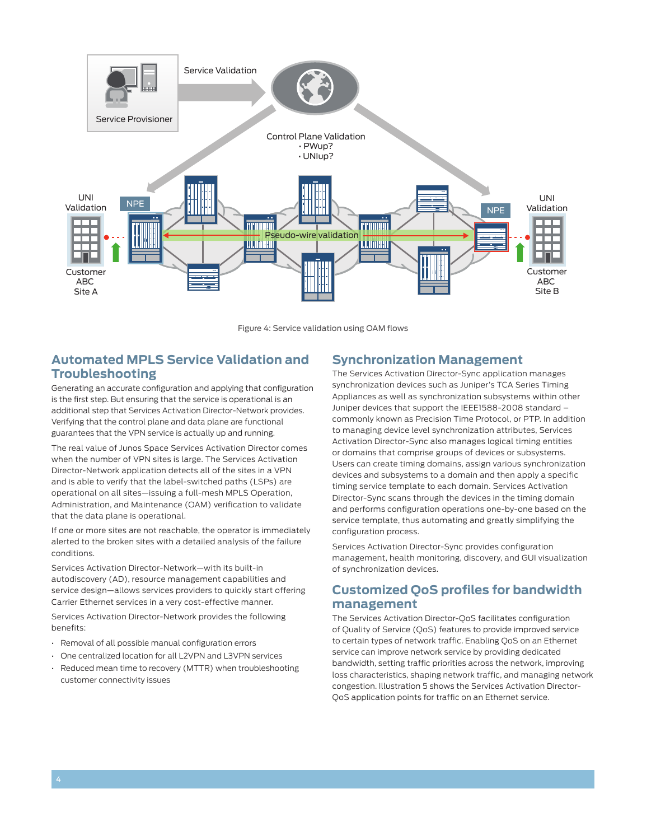

Figure 4: Service validation using OAM flows

# **Automated MPLS Service Validation and Troubleshooting**

Generating an accurate configuration and applying that configuration is the first step. But ensuring that the service is operational is an additional step that Services Activation Director-Network provides. Verifying that the control plane and data plane are functional guarantees that the VPN service is actually up and running.

The real value of Junos Space Services Activation Director comes when the number of VPN sites is large. The Services Activation Director-Network application detects all of the sites in a VPN and is able to verify that the label-switched paths (LSPs) are operational on all sites—issuing a full-mesh MPLS Operation, Administration, and Maintenance (OAM) verification to validate that the data plane is operational.

If one or more sites are not reachable, the operator is immediately alerted to the broken sites with a detailed analysis of the failure conditions.

Services Activation Director-Network—with its built-in autodiscovery (AD), resource management capabilities and service design—allows services providers to quickly start offering Carrier Ethernet services in a very cost-effective manner.

Services Activation Director-Network provides the following benefits:

- Removal of all possible manual configuration errors
- One centralized location for all L2VPN and L3VPN services
- Reduced mean time to recovery (MTTR) when troubleshooting customer connectivity issues

#### **Synchronization Management**

The Services Activation Director-Sync application manages synchronization devices such as Juniper's TCA Series Timing Appliances as well as synchronization subsystems within other Juniper devices that support the IEEE1588-2008 standard – commonly known as Precision Time Protocol, or PTP. In addition to managing device level synchronization attributes, Services Activation Director-Sync also manages logical timing entities or domains that comprise groups of devices or subsystems. Users can create timing domains, assign various synchronization devices and subsystems to a domain and then apply a specific timing service template to each domain. Services Activation Director-Sync scans through the devices in the timing domain and performs configuration operations one-by-one based on the service template, thus automating and greatly simplifying the configuration process.

Services Activation Director-Sync provides configuration management, health monitoring, discovery, and GUI visualization of synchronization devices.

## **Customized QoS profiles for bandwidth management**

The Services Activation Director-QoS facilitates configuration of Quality of Service (QoS) features to provide improved service to certain types of network traffic. Enabling QoS on an Ethernet service can improve network service by providing dedicated bandwidth, setting traffic priorities across the network, improving loss characteristics, shaping network traffic, and managing network congestion. Illustration 5 shows the Services Activation Director-QoS application points for traffic on an Ethernet service.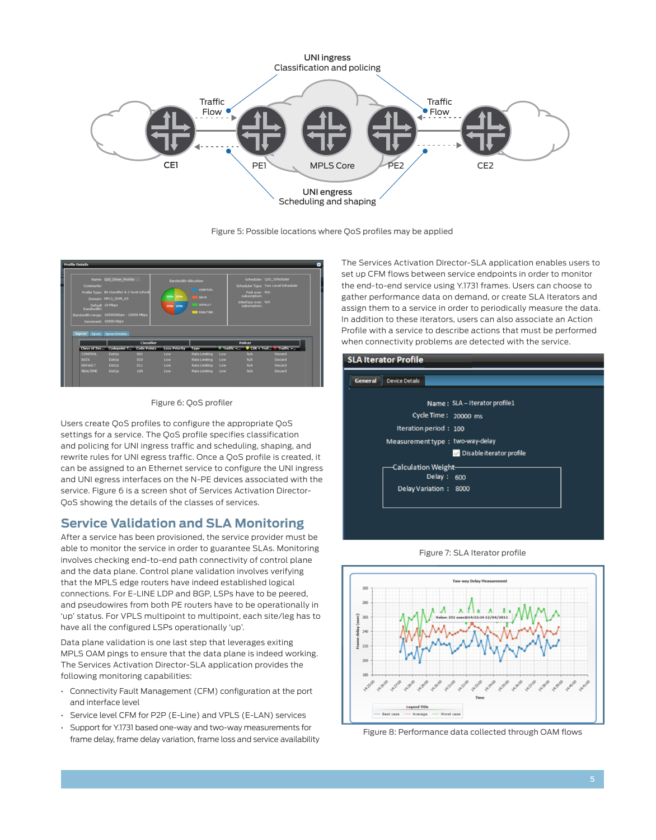

Figure 5: Possible locations where QoS profiles may be applied



Figure 6: QoS profiler

Users create QoS profiles to configure the appropriate QoS settings for a service. The QoS profile specifies classification and policing for UNI ingress traffic and scheduling, shaping, and rewrite rules for UNI egress traffic. Once a QoS profile is created, it can be assigned to an Ethernet service to configure the UNI ingress and UNI egress interfaces on the N-PE devices associated with the service. Figure 6 is a screen shot of Services Activation Director-QoS showing the details of the classes of services.

# **Service Validation and SLA Monitoring**

After a service has been provisioned, the service provider must be able to monitor the service in order to guarantee SLAs. Monitoring involves checking end-to-end path connectivity of control plane and the data plane. Control plane validation involves verifying that the MPLS edge routers have indeed established logical connections. For E-LINE LDP and BGP, LSPs have to be peered, and pseudowires from both PE routers have to be operationally in 'up' status. For VPLS multipoint to multipoint, each site/leg has to have all the configured LSPs operationally 'up'.

Data plane validation is one last step that leverages exiting MPLS OAM pings to ensure that the data plane is indeed working. The Services Activation Director-SLA application provides the following monitoring capabilities:

- Connectivity Fault Management (CFM) configuration at the port and interface level
- Service level CFM for P2P (E-Line) and VPLS (E-LAN) services
- Support for Y.1731 based one-way and two-way measurements for frame delay, frame delay variation, frame loss and service availability

The Services Activation Director-SLA application enables users to set up CFM flows between service endpoints in order to monitor the end-to-end service using Y.1731 frames. Users can choose to gather performance data on demand, or create SLA Iterators and assign them to a service in order to periodically measure the data. In addition to these iterators, users can also associate an Action Profile with a service to describe actions that must be performed when connectivity problems are detected with the service.







Figure 8: Performance data collected through OAM flows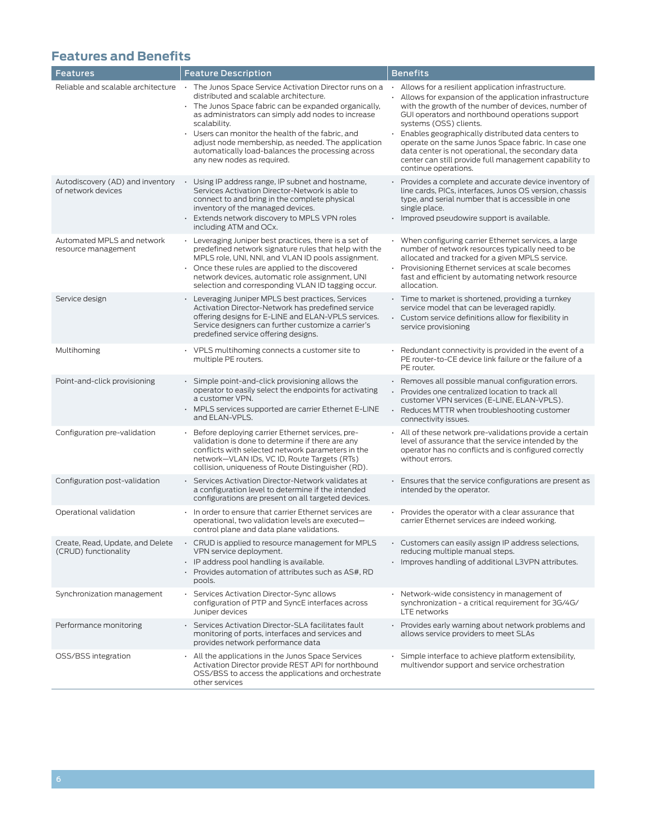# **Features and Benefits**

| Features                                                 | <b>Feature Description</b>                                                                                                                                                                                                                                                                                                                                                                                                   | <b>Benefits</b>                                                                                                                                                                                                                                                                                                                                                                                                                                                                                         |
|----------------------------------------------------------|------------------------------------------------------------------------------------------------------------------------------------------------------------------------------------------------------------------------------------------------------------------------------------------------------------------------------------------------------------------------------------------------------------------------------|---------------------------------------------------------------------------------------------------------------------------------------------------------------------------------------------------------------------------------------------------------------------------------------------------------------------------------------------------------------------------------------------------------------------------------------------------------------------------------------------------------|
| Reliable and scalable architecture                       | · The Junos Space Service Activation Director runs on a<br>distributed and scalable architecture.<br>. The Junos Space fabric can be expanded organically,<br>as administrators can simply add nodes to increase<br>scalability.<br>Users can monitor the health of the fabric, and<br>adjust node membership, as needed. The application<br>automatically load-balances the processing across<br>any new nodes as required. | · Allows for a resilient application infrastructure.<br>Allows for expansion of the application infrastructure<br>with the growth of the number of devices, number of<br>GUI operators and northbound operations support<br>systems (OSS) clients.<br>Enables geographically distributed data centers to<br>operate on the same Junos Space fabric. In case one<br>data center is not operational, the secondary data<br>center can still provide full management capability to<br>continue operations. |
| Autodiscovery (AD) and inventory<br>of network devices   | Using IP address range, IP subnet and hostname,<br>Services Activation Director-Network is able to<br>connect to and bring in the complete physical<br>inventory of the managed devices.<br>Extends network discovery to MPLS VPN roles<br>including ATM and OCx.                                                                                                                                                            | Provides a complete and accurate device inventory of<br>line cards, PICs, interfaces, Junos OS version, chassis<br>type, and serial number that is accessible in one<br>single place.<br>· Improved pseudowire support is available.                                                                                                                                                                                                                                                                    |
| Automated MPLS and network<br>resource management        | • Leveraging Juniper best practices, there is a set of<br>predefined network signature rules that help with the<br>MPLS role, UNI, NNI, and VLAN ID pools assignment.<br>Once these rules are applied to the discovered<br>network devices, automatic role assignment, UNI<br>selection and corresponding VLAN ID tagging occur.                                                                                             | When configuring carrier Ethernet services, a large<br>number of network resources typically need to be<br>allocated and tracked for a given MPLS service.<br>Provisioning Ethernet services at scale becomes<br>fast and efficient by automating network resource<br>allocation.                                                                                                                                                                                                                       |
| Service design                                           | • Leveraging Juniper MPLS best practices, Services<br>Activation Director-Network has predefined service<br>offering designs for E-LINE and ELAN-VPLS services.<br>Service designers can further customize a carrier's<br>predefined service offering designs.                                                                                                                                                               | $\cdot$ Time to market is shortened, providing a turnkey<br>service model that can be leveraged rapidly.<br>Custom service definitions allow for flexibility in<br>service provisioning                                                                                                                                                                                                                                                                                                                 |
| Multihoming                                              | • VPLS multihoming connects a customer site to<br>multiple PE routers.                                                                                                                                                                                                                                                                                                                                                       | Redundant connectivity is provided in the event of a<br>PE router-to-CE device link failure or the failure of a<br>PE router.                                                                                                                                                                                                                                                                                                                                                                           |
| Point-and-click provisioning                             | Simple point-and-click provisioning allows the<br>operator to easily select the endpoints for activating<br>a customer VPN.<br>MPLS services supported are carrier Ethernet E-LINE<br>and ELAN-VPLS.                                                                                                                                                                                                                         | · Removes all possible manual configuration errors.<br>· Provides one centralized location to track all<br>customer VPN services (E-LINE, ELAN-VPLS).<br>Reduces MTTR when troubleshooting customer<br>connectivity issues.                                                                                                                                                                                                                                                                             |
| Configuration pre-validation                             | Before deploying carrier Ethernet services, pre-<br>validation is done to determine if there are any<br>conflicts with selected network parameters in the<br>network-VLAN IDs, VC ID, Route Targets (RTs)<br>collision, uniqueness of Route Distinguisher (RD).                                                                                                                                                              | All of these network pre-validations provide a certain<br>level of assurance that the service intended by the<br>operator has no conflicts and is configured correctly<br>without errors.                                                                                                                                                                                                                                                                                                               |
| Configuration post-validation                            | Services Activation Director-Network validates at<br>$\blacksquare$<br>a configuration level to determine if the intended<br>configurations are present on all targeted devices.                                                                                                                                                                                                                                             | Ensures that the service configurations are present as<br>intended by the operator.                                                                                                                                                                                                                                                                                                                                                                                                                     |
| Operational validation                                   | In order to ensure that carrier Ethernet services are<br>$\epsilon$<br>operational, two validation levels are executed-<br>control plane and data plane validations.                                                                                                                                                                                                                                                         | Provides the operator with a clear assurance that<br>carrier Ethernet services are indeed working.                                                                                                                                                                                                                                                                                                                                                                                                      |
| Create, Read, Update, and Delete<br>(CRUD) functionality | CRUD is applied to resource management for MPLS<br>$\epsilon$<br>VPN service deployment.<br>IP address pool handling is available.<br>$\cdot$ Provides automation of attributes such as AS#, RD<br>pools.                                                                                                                                                                                                                    | Customers can easily assign IP address selections,<br>reducing multiple manual steps.<br>· Improves handling of additional L3VPN attributes.                                                                                                                                                                                                                                                                                                                                                            |
| Synchronization management                               | Services Activation Director-Sync allows<br>configuration of PTP and SyncE interfaces across<br>Juniper devices                                                                                                                                                                                                                                                                                                              | • Network-wide consistency in management of<br>synchronization - a critical requirement for 3G/4G/<br>LTE networks                                                                                                                                                                                                                                                                                                                                                                                      |
| Performance monitoring                                   | · Services Activation Director-SLA facilitates fault<br>monitoring of ports, interfaces and services and<br>provides network performance data                                                                                                                                                                                                                                                                                | · Provides early warning about network problems and<br>allows service providers to meet SLAs                                                                                                                                                                                                                                                                                                                                                                                                            |
| OSS/BSS integration                                      | All the applications in the Junos Space Services<br>Activation Director provide REST API for northbound<br>OSS/BSS to access the applications and orchestrate<br>other services                                                                                                                                                                                                                                              | Simple interface to achieve platform extensibility,<br>multivendor support and service orchestration                                                                                                                                                                                                                                                                                                                                                                                                    |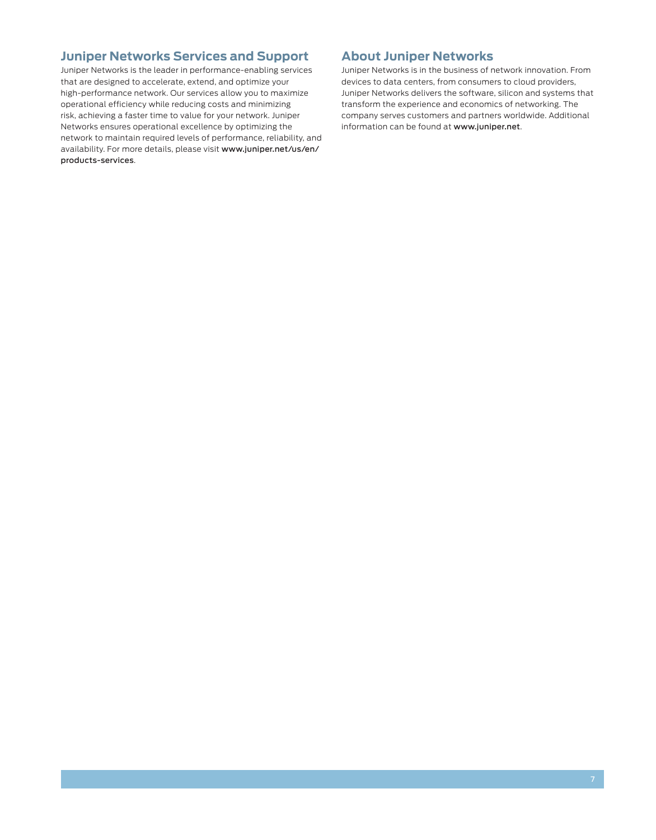## **Juniper Networks Services and Support**

Juniper Networks is the leader in performance-enabling services that are designed to accelerate, extend, and optimize your high-performance network. Our services allow you to maximize operational efficiency while reducing costs and minimizing risk, achieving a faster time to value for your network. Juniper Networks ensures operational excellence by optimizing the network to maintain required levels of performance, reliability, and availability. For more details, please visit www.juniper.net/us/en/ products-services.

### **About Juniper Networks**

Juniper Networks is in the business of network innovation. From devices to data centers, from consumers to cloud providers, Juniper Networks delivers the software, silicon and systems that transform the experience and economics of networking. The company serves customers and partners worldwide. Additional information can be found at www.juniper.net.